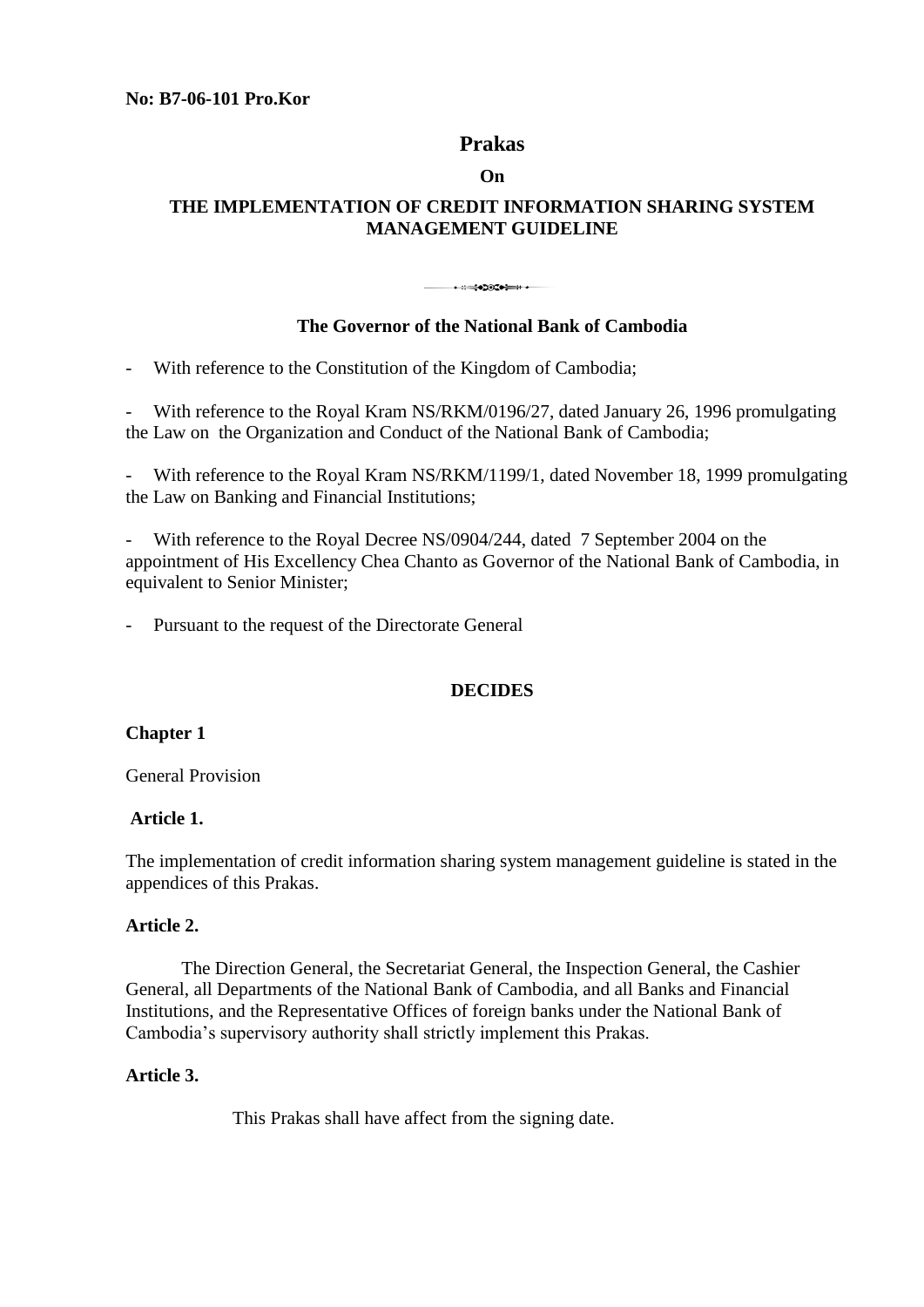**No: B7-06-101 Pro.Kor** 

# **Prakas**

### **On**

# **THE IMPLEMENTATION OF CREDIT INFORMATION SHARING SYSTEM MANAGEMENT GUIDELINE**

#### • ::=:●DOC● == :: • ---

# **The Governor of the National Bank of Cambodia**

- With reference to the Constitution of the Kingdom of Cambodia;

- With reference to the Royal Kram NS/RKM/0196/27, dated January 26, 1996 promulgating the Law on the Organization and Conduct of the National Bank of Cambodia;

With reference to the Royal Kram NS/RKM/1199/1, dated November 18, 1999 promulgating the Law on Banking and Financial Institutions;

With reference to the Royal Decree NS/0904/244, dated 7 September 2004 on the appointment of His Excellency Chea Chanto as Governor of the National Bank of Cambodia, in equivalent to Senior Minister;

Pursuant to the request of the Directorate General

# **DECIDES**

### **Chapter 1**

General Provision

## **Article 1.**

The implementation of credit information sharing system management guideline is stated in the appendices of this Prakas.

### **Article 2.**

 The Direction General, the Secretariat General, the Inspection General, the Cashier General, all Departments of the National Bank of Cambodia, and all Banks and Financial Institutions, and the Representative Offices of foreign banks under the National Bank of Cambodia's supervisory authority shall strictly implement this Prakas.

### **Article 3.**

This Prakas shall have affect from the signing date.